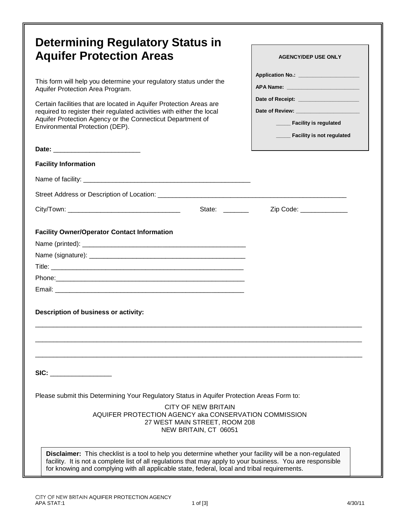| <b>Determining Regulatory Status in</b><br><b>Aquifer Protection Areas</b><br>This form will help you determine your regulatory status under the<br>Aquifer Protection Area Program.<br>Certain facilities that are located in Aquifer Protection Areas are<br>required to register their regulated activities with either the local<br>Aquifer Protection Agency or the Connecticut Department of<br>Environmental Protection (DEP). | <b>AGENCY/DEP USE ONLY</b><br>Application No.: _______________________<br>Date of Receipt: ________________________<br>Date of Review: Network and Section And Section 2014<br>____ Facility is regulated |
|---------------------------------------------------------------------------------------------------------------------------------------------------------------------------------------------------------------------------------------------------------------------------------------------------------------------------------------------------------------------------------------------------------------------------------------|-----------------------------------------------------------------------------------------------------------------------------------------------------------------------------------------------------------|
| <b>Facility Information</b>                                                                                                                                                                                                                                                                                                                                                                                                           | Facility is not regulated                                                                                                                                                                                 |
|                                                                                                                                                                                                                                                                                                                                                                                                                                       |                                                                                                                                                                                                           |
|                                                                                                                                                                                                                                                                                                                                                                                                                                       |                                                                                                                                                                                                           |
| State: ________                                                                                                                                                                                                                                                                                                                                                                                                                       | Zip Code: _______________                                                                                                                                                                                 |
| Description of business or activity:                                                                                                                                                                                                                                                                                                                                                                                                  |                                                                                                                                                                                                           |
| SIC: Analysis of the state of the state of the state of the state of the state of the state of the state of the state of the state of the state of the state of the state of the state of the state of the state of the state<br>Please submit this Determining Your Regulatory Status in Aquifer Protection Areas Form to:<br>CITY OF NEW BRITAIN<br>AQUIFER PROTECTION AGENCY aka CONSERVATION COMMISSION                           |                                                                                                                                                                                                           |
| 27 WEST MAIN STREET, ROOM 208<br>NEW BRITAIN, CT 06051<br>Disclaimer: This checklist is a tool to help you determine whether your facility will be a non-regulated<br>facility. It is not a complete list of all regulations that may apply to your business. You are responsible<br>for knowing and complying with all applicable state, federal, local and tribal requirements.                                                     |                                                                                                                                                                                                           |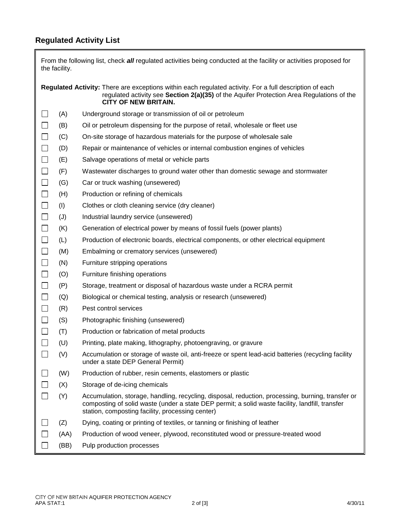## **Regulated Activity List**

Ī

|                             | the facility. | From the following list, check all regulated activities being conducted at the facility or activities proposed for                                                                                                                                       |
|-----------------------------|---------------|----------------------------------------------------------------------------------------------------------------------------------------------------------------------------------------------------------------------------------------------------------|
|                             |               | Regulated Activity: There are exceptions within each regulated activity. For a full description of each<br>regulated activity see Section 2(a)(35) of the Aquifer Protection Area Regulations of the<br><b>CITY OF NEW BRITAIN.</b>                      |
| $\Box$                      | (A)           | Underground storage or transmission of oil or petroleum                                                                                                                                                                                                  |
| $\Box$                      | (B)           | Oil or petroleum dispensing for the purpose of retail, wholesale or fleet use                                                                                                                                                                            |
| $\Box$                      | (C)           | On-site storage of hazardous materials for the purpose of wholesale sale                                                                                                                                                                                 |
| $\Box$                      | (D)           | Repair or maintenance of vehicles or internal combustion engines of vehicles                                                                                                                                                                             |
| $\Box$                      | (E)           | Salvage operations of metal or vehicle parts                                                                                                                                                                                                             |
| $\Box$                      | (F)           | Wastewater discharges to ground water other than domestic sewage and stormwater                                                                                                                                                                          |
| $\Box$                      | (G)           | Car or truck washing (unsewered)                                                                                                                                                                                                                         |
| $\Box$                      | (H)           | Production or refining of chemicals                                                                                                                                                                                                                      |
| $\Box$                      | (1)           | Clothes or cloth cleaning service (dry cleaner)                                                                                                                                                                                                          |
| $\Box$                      | (J)           | Industrial laundry service (unsewered)                                                                                                                                                                                                                   |
| $\Box$                      | (K)           | Generation of electrical power by means of fossil fuels (power plants)                                                                                                                                                                                   |
| $\Box$                      | (L)           | Production of electronic boards, electrical components, or other electrical equipment                                                                                                                                                                    |
| $\Box$                      | (M)           | Embalming or crematory services (unsewered)                                                                                                                                                                                                              |
| $\Box$                      | (N)           | Furniture stripping operations                                                                                                                                                                                                                           |
| $\Box$                      | (O)           | Furniture finishing operations                                                                                                                                                                                                                           |
| $\Box$                      | (P)           | Storage, treatment or disposal of hazardous waste under a RCRA permit                                                                                                                                                                                    |
| $\Box$                      | (Q)           | Biological or chemical testing, analysis or research (unsewered)                                                                                                                                                                                         |
| $\Box$                      | (R)           | Pest control services                                                                                                                                                                                                                                    |
| $\Box$                      | (S)           | Photographic finishing (unsewered)                                                                                                                                                                                                                       |
| $\Box$                      | (T)           | Production or fabrication of metal products                                                                                                                                                                                                              |
| $\Box$                      | (U)           | Printing, plate making, lithography, photoengraving, or gravure                                                                                                                                                                                          |
|                             | (V)           | Accumulation or storage of waste oil, anti-freeze or spent lead-acid batteries (recycling facility<br>under a state DEP General Permit)                                                                                                                  |
|                             | (W)           | Production of rubber, resin cements, elastomers or plastic                                                                                                                                                                                               |
| $\mathcal{L}_{\mathcal{A}}$ | (X)           | Storage of de-icing chemicals                                                                                                                                                                                                                            |
| $\Box$                      | (Y)           | Accumulation, storage, handling, recycling, disposal, reduction, processing, burning, transfer or<br>composting of solid waste (under a state DEP permit; a solid waste facility, landfill, transfer<br>station, composting facility, processing center) |
|                             | (Z)           | Dying, coating or printing of textiles, or tanning or finishing of leather                                                                                                                                                                               |
| $\Box$                      | (AA)          | Production of wood veneer, plywood, reconstituted wood or pressure-treated wood                                                                                                                                                                          |
|                             | (BB)          | Pulp production processes                                                                                                                                                                                                                                |

IL